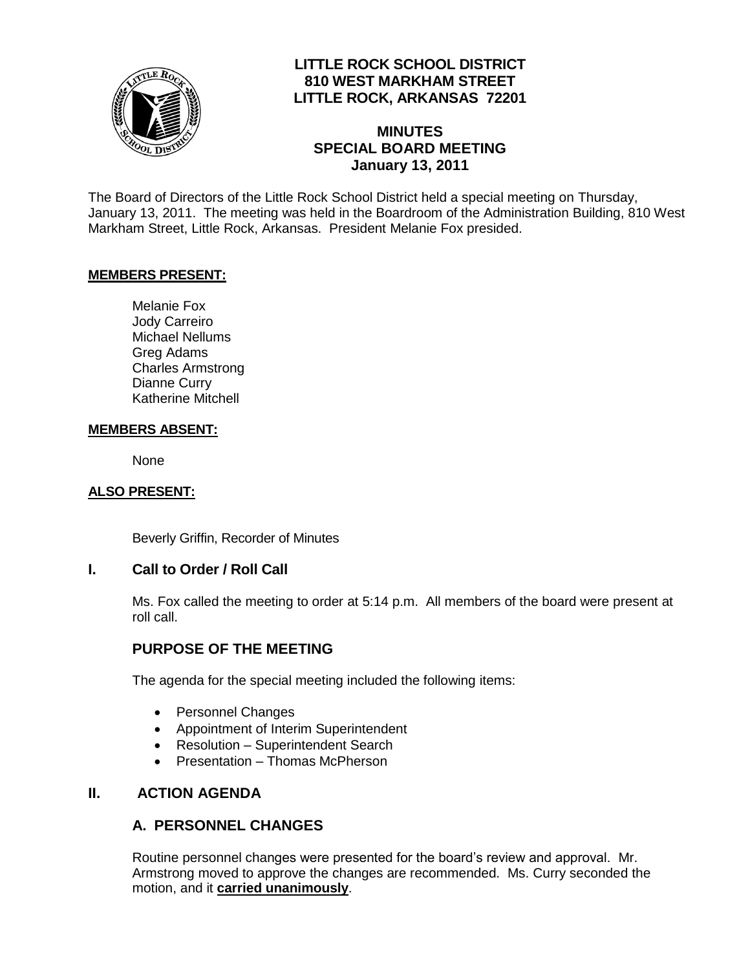

# **LITTLE ROCK SCHOOL DISTRICT 810 WEST MARKHAM STREET LITTLE ROCK, ARKANSAS 72201**

# **MINUTES SPECIAL BOARD MEETING January 13, 2011**

The Board of Directors of the Little Rock School District held a special meeting on Thursday, January 13, 2011. The meeting was held in the Boardroom of the Administration Building, 810 West Markham Street, Little Rock, Arkansas. President Melanie Fox presided.

#### **MEMBERS PRESENT:**

Melanie Fox Jody Carreiro Michael Nellums Greg Adams Charles Armstrong Dianne Curry Katherine Mitchell

#### **MEMBERS ABSENT:**

None

## **ALSO PRESENT:**

Beverly Griffin, Recorder of Minutes

## **I. Call to Order / Roll Call**

Ms. Fox called the meeting to order at 5:14 p.m. All members of the board were present at roll call.

## **PURPOSE OF THE MEETING**

The agenda for the special meeting included the following items:

- Personnel Changes
- Appointment of Interim Superintendent
- Resolution Superintendent Search
- Presentation Thomas McPherson

## **II. ACTION AGENDA**

## **A. PERSONNEL CHANGES**

Routine personnel changes were presented for the board's review and approval. Mr. Armstrong moved to approve the changes are recommended. Ms. Curry seconded the motion, and it **carried unanimously**.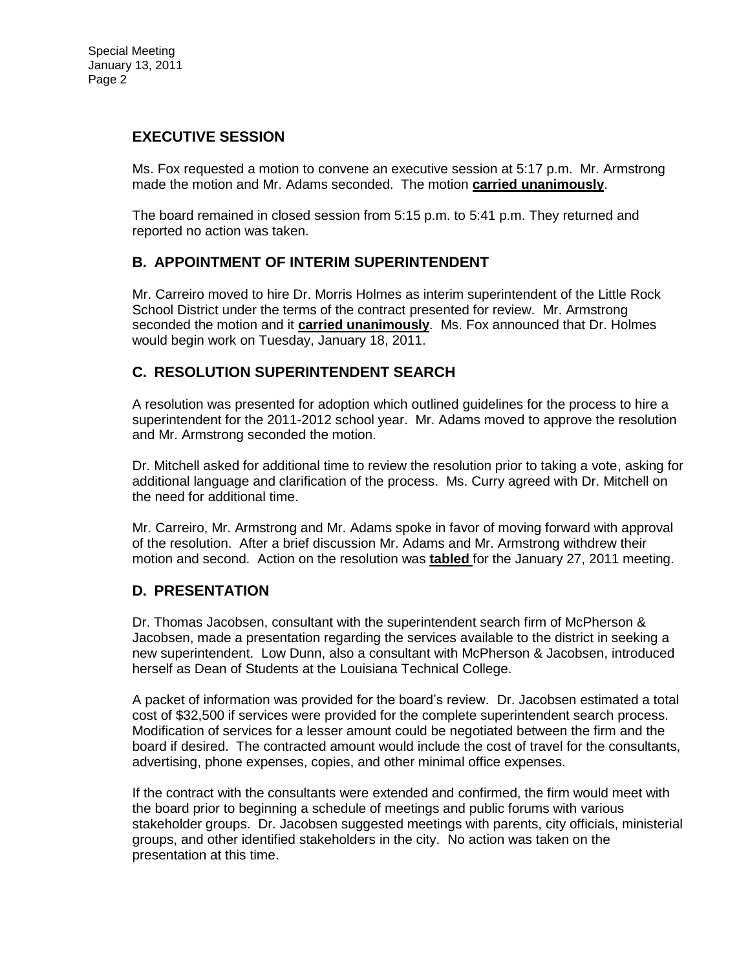## **EXECUTIVE SESSION**

Ms. Fox requested a motion to convene an executive session at 5:17 p.m. Mr. Armstrong made the motion and Mr. Adams seconded. The motion **carried unanimously**.

The board remained in closed session from 5:15 p.m. to 5:41 p.m. They returned and reported no action was taken.

## **B. APPOINTMENT OF INTERIM SUPERINTENDENT**

Mr. Carreiro moved to hire Dr. Morris Holmes as interim superintendent of the Little Rock School District under the terms of the contract presented for review. Mr. Armstrong seconded the motion and it **carried unanimously**. Ms. Fox announced that Dr. Holmes would begin work on Tuesday, January 18, 2011.

## **C. RESOLUTION SUPERINTENDENT SEARCH**

A resolution was presented for adoption which outlined guidelines for the process to hire a superintendent for the 2011-2012 school year. Mr. Adams moved to approve the resolution and Mr. Armstrong seconded the motion.

Dr. Mitchell asked for additional time to review the resolution prior to taking a vote, asking for additional language and clarification of the process. Ms. Curry agreed with Dr. Mitchell on the need for additional time.

Mr. Carreiro, Mr. Armstrong and Mr. Adams spoke in favor of moving forward with approval of the resolution. After a brief discussion Mr. Adams and Mr. Armstrong withdrew their motion and second. Action on the resolution was **tabled** for the January 27, 2011 meeting.

## **D. PRESENTATION**

Dr. Thomas Jacobsen, consultant with the superintendent search firm of McPherson & Jacobsen, made a presentation regarding the services available to the district in seeking a new superintendent. Low Dunn, also a consultant with McPherson & Jacobsen, introduced herself as Dean of Students at the Louisiana Technical College.

A packet of information was provided for the board's review. Dr. Jacobsen estimated a total cost of \$32,500 if services were provided for the complete superintendent search process. Modification of services for a lesser amount could be negotiated between the firm and the board if desired. The contracted amount would include the cost of travel for the consultants, advertising, phone expenses, copies, and other minimal office expenses.

If the contract with the consultants were extended and confirmed, the firm would meet with the board prior to beginning a schedule of meetings and public forums with various stakeholder groups. Dr. Jacobsen suggested meetings with parents, city officials, ministerial groups, and other identified stakeholders in the city. No action was taken on the presentation at this time.